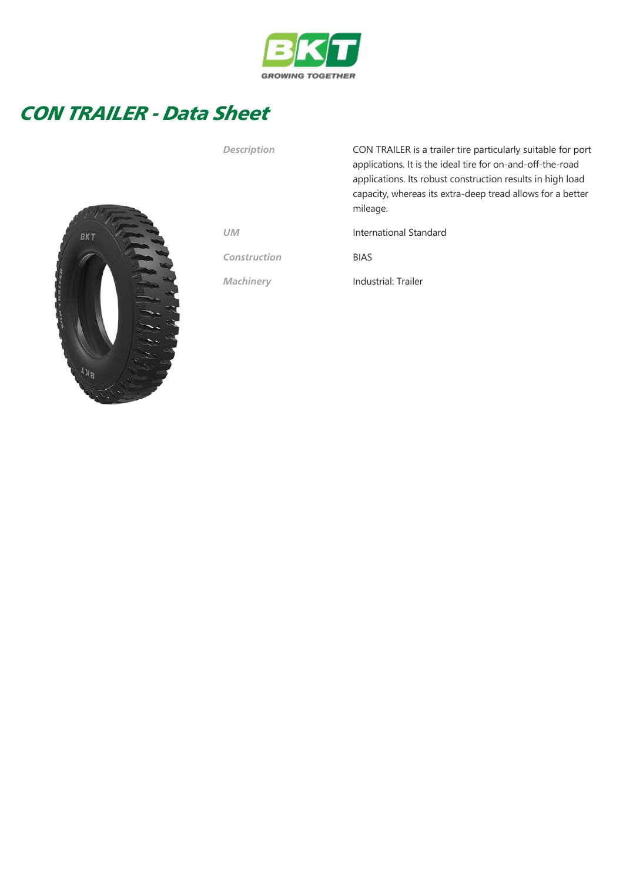

## CON TRAILER - Data Sheet



| <b>Description</b> | CON TRAILER is a trailer tire particularly suitable for port<br>applications. It is the ideal tire for on-and-off-the-road<br>applications. Its robust construction results in high load<br>capacity, whereas its extra-deep tread allows for a better<br>mileage. |
|--------------------|--------------------------------------------------------------------------------------------------------------------------------------------------------------------------------------------------------------------------------------------------------------------|
| <b>UM</b>          | International Standard                                                                                                                                                                                                                                             |
| Construction       | <b>BIAS</b>                                                                                                                                                                                                                                                        |
| <b>Machinery</b>   | Industrial: Trailer                                                                                                                                                                                                                                                |